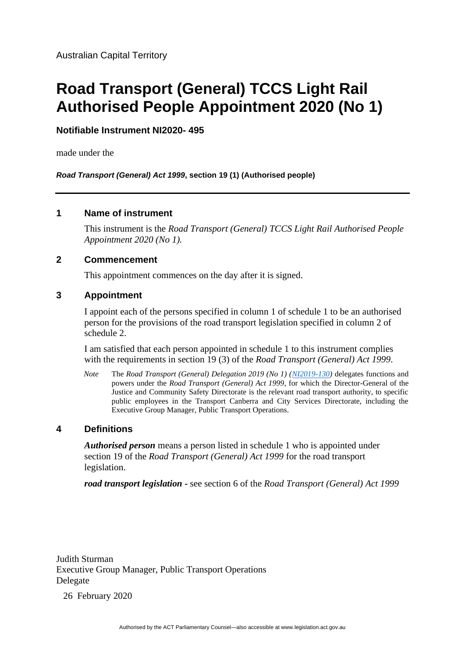# **Road Transport (General) TCCS Light Rail Authorised People Appointment 2020 (No 1)**

**Notifiable Instrument NI2020- 495**

made under the

*Road Transport (General) Act 1999***, section 19 (1) (Authorised people)**

### **1 Name of instrument**

This instrument is the *Road Transport (General) TCCS Light Rail Authorised People Appointment 2020 (No 1).*

## **2 Commencement**

This appointment commences on the day after it is signed.

## **3 Appointment**

I appoint each of the persons specified in column 1 of schedule 1 to be an authorised person for the provisions of the road transport legislation specified in column 2 of schedule 2.

I am satisfied that each person appointed in schedule 1 to this instrument complies with the requirements in section 19 (3) of the *Road Transport (General) Act 1999*.

*Note* The *Road Transport (General) Delegation 2019 (No 1) [\(NI2019-130\)](https://legislation.act.gov.au/ni/2019-130/)* delegates functions and powers under the *Road Transport (General) Act 1999*, for which the Director-General of the Justice and Community Safety Directorate is the relevant road transport authority, to specific public employees in the Transport Canberra and City Services Directorate, including the Executive Group Manager, Public Transport Operations.

## **4 Definitions**

*Authorised person* means a person listed in schedule 1 who is appointed under section 19 of the *Road Transport (General) Act 1999* for the road transport legislation.

*road transport legislation* **-** see section 6 of the *Road Transport (General) Act 1999*

Judith Sturman Executive Group Manager, Public Transport Operations Delegate

26 February 2020